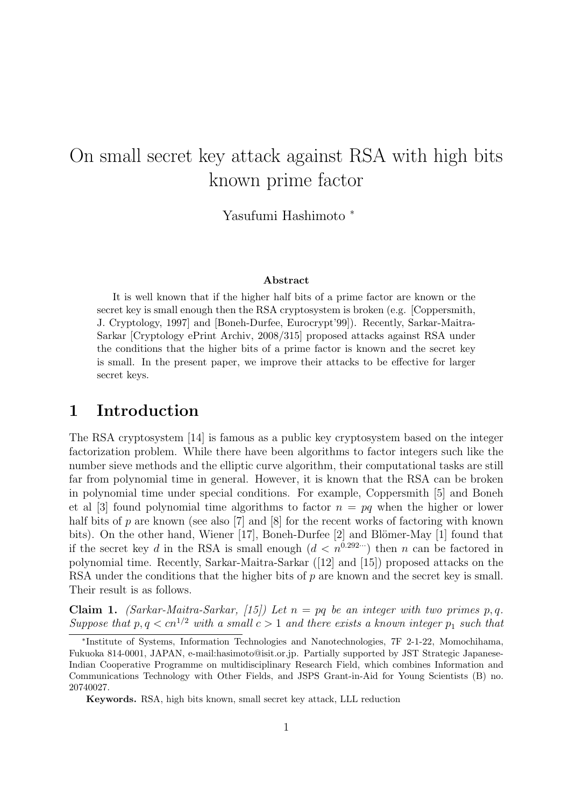# On small secret key attack against RSA with high bits known prime factor

Yasufumi Hashimoto <sup>∗</sup>

#### Abstract

It is well known that if the higher half bits of a prime factor are known or the secret key is small enough then the RSA cryptosystem is broken (e.g. [Coppersmith, J. Cryptology, 1997] and [Boneh-Durfee, Eurocrypt'99]). Recently, Sarkar-Maitra-Sarkar [Cryptology ePrint Archiv, 2008/315] proposed attacks against RSA under the conditions that the higher bits of a prime factor is known and the secret key is small. In the present paper, we improve their attacks to be effective for larger secret keys.

### 1 Introduction

The RSA cryptosystem [14] is famous as a public key cryptosystem based on the integer factorization problem. While there have been algorithms to factor integers such like the number sieve methods and the elliptic curve algorithm, their computational tasks are still far from polynomial time in general. However, it is known that the RSA can be broken in polynomial time under special conditions. For example, Coppersmith [5] and Boneh et al [3] found polynomial time algorithms to factor  $n = pq$  when the higher or lower half bits of p are known (see also [7] and [8] for the recent works of factoring with known bits). On the other hand, Wiener [17], Boneh-Durfee [2] and Blömer-May [1] found that if the secret key d in the RSA is small enough  $(d < n^{0.292 \cdots})$  then n can be factored in polynomial time. Recently, Sarkar-Maitra-Sarkar ([12] and [15]) proposed attacks on the RSA under the conditions that the higher bits of  $p$  are known and the secret key is small. Their result is as follows.

Claim 1. (Sarkar-Maitra-Sarkar, [15]) Let  $n = pq$  be an integer with two primes p, q. Suppose that  $p, q < c n^{1/2}$  with a small  $c > 1$  and there exists a known integer  $p_1$  such that

<sup>∗</sup> Institute of Systems, Information Technologies and Nanotechnologies, 7F 2-1-22, Momochihama, Fukuoka 814-0001, JAPAN, e-mail:hasimoto@isit.or.jp. Partially supported by JST Strategic Japanese-Indian Cooperative Programme on multidisciplinary Research Field, which combines Information and Communications Technology with Other Fields, and JSPS Grant-in-Aid for Young Scientists (B) no. 20740027.

Keywords. RSA, high bits known, small secret key attack, LLL reduction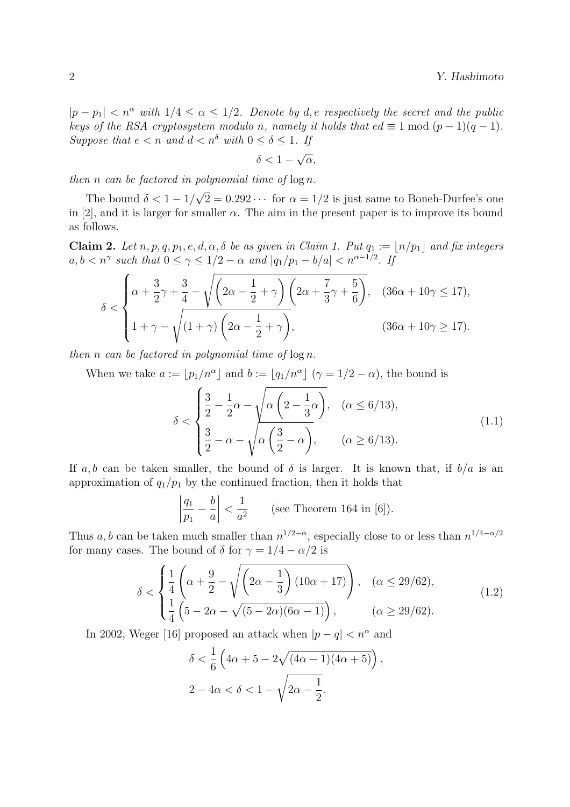$|p - p_1| < n^{\alpha}$  with  $1/4 \leq \alpha \leq 1/2$ . Denote by d, e respectively the secret and the public keys of the RSA cryptosystem modulo n, namely it holds that  $ed \equiv 1 \mod (p-1)(q-1)$ . Suppose that  $e < n$  and  $d < n^{\delta}$  with  $0 \leq \delta \leq 1$ . If

$$
\frac{-1}{\delta} < 1 - \sqrt{\alpha},
$$

then n can be factored in polynomial time of  $\log n$ .

The bound  $\delta < 1 - 1/$ √  $2 = 0.292 \cdots$  for  $\alpha = 1/2$  is just same to Boneh-Durfee's one in [2], and it is larger for smaller  $\alpha$ . The aim in the present paper is to improve its bound as follows.

Claim 2. Let  $n, p, q, p_1, e, d, \alpha, \delta$  be as given in Claim 1. Put  $q_1 := |n/p_1|$  and fix integers  $a, b < n^{\gamma}$  such that  $0 \leq \gamma \leq 1/2 - \alpha$  and  $|q_1/p_1 - b/a| < n^{\alpha - 1/2}$ . If

$$
\delta < \begin{cases} \alpha + \frac{3}{2}\gamma + \frac{3}{4} - \sqrt{\left(2\alpha - \frac{1}{2} + \gamma\right)\left(2\alpha + \frac{7}{3}\gamma + \frac{5}{6}\right)}, & (36\alpha + 10\gamma \le 17), \\ 1 + \gamma - \sqrt{\left(1 + \gamma\right)\left(2\alpha - \frac{1}{2} + \gamma\right)}, & (36\alpha + 10\gamma \ge 17). \end{cases}
$$

then n can be factored in polynomial time of  $\log n$ .

When we take  $a := \lfloor p_1/n^{\alpha} \rfloor$  and  $b := \lfloor q_1/n^{\alpha} \rfloor$   $(\gamma = 1/2 - \alpha)$ , the bound is  $\begin{array}{ccc} \n\bullet & \bullet & \bullet & \bullet \\
\bullet & \bullet & \bullet & \bullet\n\end{array}$ 

$$
\delta < \begin{cases} \frac{3}{2} - \frac{1}{2}\alpha - \sqrt{\alpha \left(2 - \frac{1}{3}\alpha\right)}, & (\alpha \le 6/13), \\ \frac{3}{2} - \alpha - \sqrt{\alpha \left(\frac{3}{2} - \alpha\right)}, & (\alpha \ge 6/13). \end{cases} \tag{1.1}
$$

If a, b can be taken smaller, the bound of  $\delta$  is larger. It is known that, if  $b/a$  is an approximation of  $q_1/p_1$  by the continued fraction, then it holds that

$$
\left|\frac{q_1}{p_1} - \frac{b}{a}\right| < \frac{1}{a^2} \qquad \text{(see Theorem 164 in [6]).}
$$

Thus a, b can be taken much smaller than  $n^{1/2-\alpha}$ , especially close to or less than  $n^{1/4-\alpha/2}$ for many cases. The bound of  $\delta$  for  $\gamma = 1/4 - \alpha/2$  is

$$
\delta < \begin{cases} \frac{1}{4} \left( \alpha + \frac{9}{2} - \sqrt{\left( 2\alpha - \frac{1}{3} \right) (10\alpha + 17)} \right), & (\alpha \le 29/62), \\ \frac{1}{4} \left( 5 - 2\alpha - \sqrt{(5 - 2\alpha)(6\alpha - 1)} \right), & (\alpha \ge 29/62). \end{cases} \tag{1.2}
$$

In 2002, Weger [16] proposed an attack when  $|p - q| < n^{\alpha}$  and

$$
\delta < \frac{1}{6} \left( 4\alpha + 5 - 2\sqrt{(4\alpha - 1)(4\alpha + 5)} \right),
$$
\n
$$
2 - 4\alpha < \delta < 1 - \sqrt{2\alpha - \frac{1}{2}}.
$$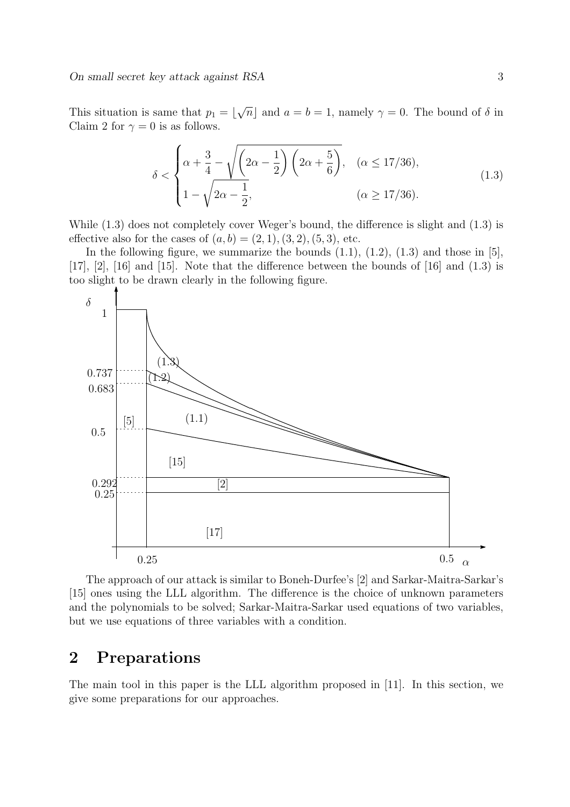This situation is same that  $p_1 = \lfloor$ √  $\overline{n}|$  and  $a = b = 1$ , namely  $\gamma = 0$ . The bound of  $\delta$  in Claim 2 for  $\gamma = 0$  is as follows.

$$
\delta < \begin{cases} \alpha + \frac{3}{4} - \sqrt{\left(2\alpha - \frac{1}{2}\right)\left(2\alpha + \frac{5}{6}\right)}, & (\alpha \le 17/36), \\ 1 - \sqrt{2\alpha - \frac{1}{2}}, & (\alpha \ge 17/36). \end{cases} \tag{1.3}
$$

While (1.3) does not completely cover Weger's bound, the difference is slight and (1.3) is effective also for the cases of  $(a, b) = (2, 1), (3, 2), (5, 3),$  etc.

In the following figure, we summarize the bounds  $(1.1)$ ,  $(1.2)$ ,  $(1.3)$  and those in [5],  $[17]$ ,  $[2]$ ,  $[16]$  and  $[15]$ . Note that the difference between the bounds of  $[16]$  and  $(1.3)$  is too slight to be drawn clearly in the following figure.



The approach of our attack is similar to Boneh-Durfee's [2] and Sarkar-Maitra-Sarkar's [15] ones using the LLL algorithm. The difference is the choice of unknown parameters and the polynomials to be solved; Sarkar-Maitra-Sarkar used equations of two variables, but we use equations of three variables with a condition.

## 2 Preparations

The main tool in this paper is the LLL algorithm proposed in [11]. In this section, we give some preparations for our approaches.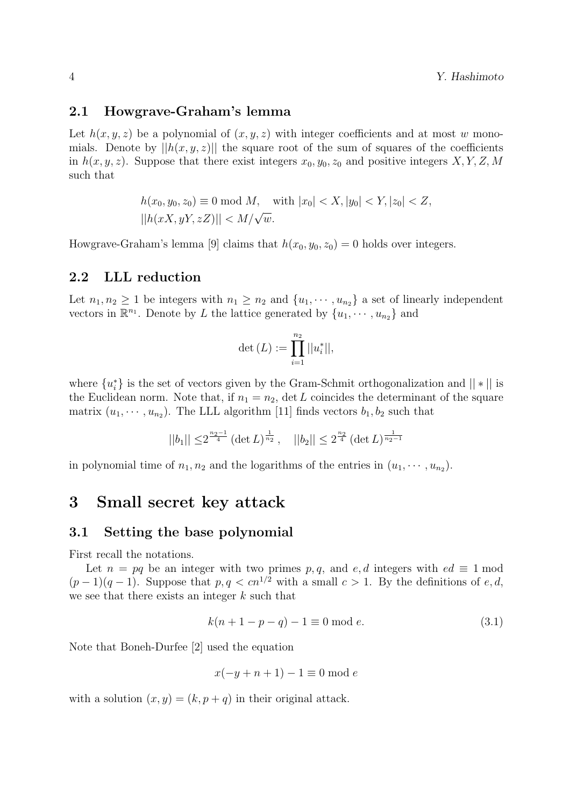#### 2.1 Howgrave-Graham's lemma

Let  $h(x, y, z)$  be a polynomial of  $(x, y, z)$  with integer coefficients and at most w monomials. Denote by  $||h(x, y, z)||$  the square root of the sum of squares of the coefficients in  $h(x, y, z)$ . Suppose that there exist integers  $x_0, y_0, z_0$  and positive integers X, Y, Z, M such that

$$
h(x_0, y_0, z_0) \equiv 0 \mod M, \quad \text{with } |x_0| < X, |y_0| < Y, |z_0| < Z, \quad |h(xX, yY, zZ)| < M/\sqrt{w}.
$$

Howgrave-Graham's lemma [9] claims that  $h(x_0, y_0, z_0) = 0$  holds over integers.

#### 2.2 LLL reduction

Let  $n_1, n_2 \geq 1$  be integers with  $n_1 \geq n_2$  and  $\{u_1, \dots, u_{n_2}\}$  a set of linearly independent vectors in  $\mathbb{R}^{n_1}$ . Denote by L the lattice generated by  $\{u_1, \dots, u_{n_2}\}\$  and

$$
\det{(L)} := \prod_{i=1}^{n_2} ||u_i^*||,
$$

where  $\{u_i^*\}$  is the set of vectors given by the Gram-Schmit orthogonalization and  $||*||$  is the Euclidean norm. Note that, if  $n_1 = n_2$ , det L coincides the determinant of the square matrix  $(u_1, \dots, u_{n_2})$ . The LLL algorithm [11] finds vectors  $b_1, b_2$  such that

$$
||b_1|| \le 2^{\frac{n_2-1}{4}} (\det L)^{\frac{1}{n_2}}, \quad ||b_2|| \le 2^{\frac{n_2}{4}} (\det L)^{\frac{1}{n_2-1}}
$$

in polynomial time of  $n_1, n_2$  and the logarithms of the entries in  $(u_1, \dots, u_{n_2})$ .

## 3 Small secret key attack

#### 3.1 Setting the base polynomial

First recall the notations.

Let  $n = pq$  be an integer with two primes p, q, and e, d integers with  $ed \equiv 1 \mod$  $(p-1)(q-1)$ . Suppose that  $p, q < cn^{1/2}$  with a small  $c > 1$ . By the definitions of e, d, we see that there exists an integer k such that

$$
k(n + 1 - p - q) - 1 \equiv 0 \mod e. \tag{3.1}
$$

Note that Boneh-Durfee [2] used the equation

$$
x(-y+n+1)-1 \equiv 0 \bmod e
$$

with a solution  $(x, y) = (k, p + q)$  in their original attack.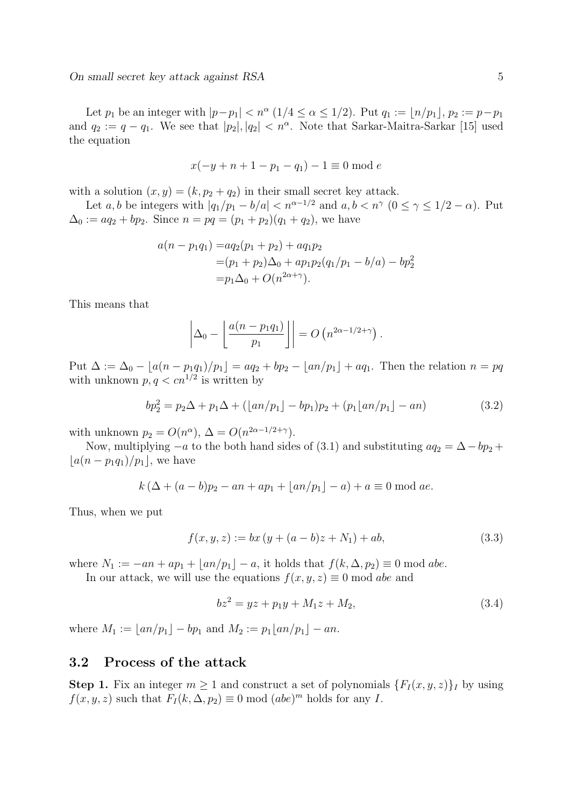Let  $p_1$  be an integer with  $|p-p_1| < n^{\alpha} (1/4 \leq \alpha \leq 1/2)$ . Put  $q_1 := \lfloor n/p_1 \rfloor$ ,  $p_2 := p-p_1$ and  $q_2 := q - q_1$ . We see that  $|p_2|, |q_2| < n^{\alpha}$ . Note that Sarkar-Maitra-Sarkar [15] used the equation

$$
x(-y+n+1-p_1-q_1) - 1 \equiv 0 \mod e
$$

with a solution  $(x, y) = (k, p_2 + q_2)$  in their small secret key attack.

Let a, b be integers with  $|q_1/p_1 - b/a| < n^{\alpha-1/2}$  and  $a, b < n^{\gamma}$   $(0 \le \gamma \le 1/2 - \alpha)$ . Put  $\Delta_0 := aq_2 + bp_2$ . Since  $n = pq = (p_1 + p_2)(q_1 + q_2)$ , we have

$$
a(n - p_1q_1) = aq_2(p_1 + p_2) + aq_1p_2
$$
  
=  $(p_1 + p_2)\Delta_0 + ap_1p_2(q_1/p_1 - b/a) - bp_2^2$   
=  $p_1\Delta_0 + O(n^{2\alpha + \gamma}).$ 

This means that

$$
\left|\Delta_0 - \left\lfloor \frac{a(n-p_1q_1)}{p_1} \right\rfloor \right| = O\left(n^{2\alpha - 1/2 + \gamma}\right).
$$

Put  $\Delta := \Delta_0 - [a(n - p_1q_1)/p_1] = aq_2 + bp_2 - [an/p_1] + aq_1$ . Then the relation  $n = pq$ with unknown  $p, q < cn^{1/2}$  is written by

$$
bp_2^2 = p_2\Delta + p_1\Delta + (\lfloor an/p_1 \rfloor - bp_1)p_2 + (p_1\lfloor an/p_1 \rfloor - an)
$$
\n(3.2)

with unknown  $p_2 = O(n^{\alpha}), \Delta = O(n^{2\alpha - 1/2 + \gamma}).$ 

Now, multiplying  $-a$  to the both hand sides of (3.1) and substituting  $aq_2 = \Delta - bp_2 +$  $|a(n - p_1q_1)/p_1|$ , we have

$$
k (\Delta + (a - b)p_2 - an + ap_1 + \lfloor an/p_1 \rfloor - a) + a \equiv 0 \mod a e.
$$

Thus, when we put

$$
f(x, y, z) := bx (y + (a - b)z + N_1) + ab,
$$
\n(3.3)

where  $N_1 := -an + ap_1 + \lfloor an/p_1 \rfloor - a$ , it holds that  $f(k, \Delta, p_2) \equiv 0 \text{ mod } abe$ .

In our attack, we will use the equations  $f(x, y, z) \equiv 0 \text{ mod } abe$  and

$$
bz^2 = yz + p_1y + M_1z + M_2, \tag{3.4}
$$

where  $M_1 := |an/p_1| - bp_1$  and  $M_2 := p_1|an/p_1| - an$ .

#### 3.2 Process of the attack

**Step 1.** Fix an integer  $m \geq 1$  and construct a set of polynomials  $\{F_I(x, y, z)\}_I$  by using  $f(x, y, z)$  such that  $F_I(k, \Delta, p_2) \equiv 0 \mod (abe)^m$  holds for any I.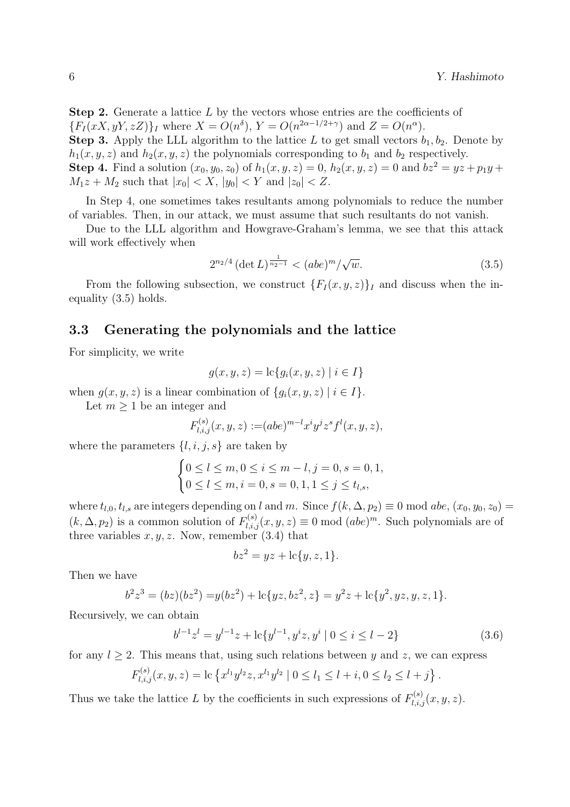**Step 2.** Generate a lattice  $L$  by the vectors whose entries are the coefficients of  ${F_I(xX, yY, zZ)}_I$  where  $X = O(n^{\delta}), Y = O(n^{2\alpha - 1/2 + \gamma})$  and  $Z = O(n^{\alpha}).$ **Step 3.** Apply the LLL algorithm to the lattice L to get small vectors  $b_1, b_2$ . Denote by  $h_1(x, y, z)$  and  $h_2(x, y, z)$  the polynomials corresponding to  $b_1$  and  $b_2$  respectively. **Step 4.** Find a solution  $(x_0, y_0, z_0)$  of  $h_1(x, y, z) = 0$ ,  $h_2(x, y, z) = 0$  and  $bz^2 = yz + p_1y + z_0$  $M_1z + M_2$  such that  $|x_0| < X$ ,  $|y_0| < Y$  and  $|z_0| < Z$ .

In Step 4, one sometimes takes resultants among polynomials to reduce the number of variables. Then, in our attack, we must assume that such resultants do not vanish.

Due to the LLL algorithm and Howgrave-Graham's lemma, we see that this attack will work effectively when

$$
2^{n_2/4} \left( \det L \right)^{\frac{1}{n_2 - 1}} < (abe)^m / \sqrt{w}.\tag{3.5}
$$

From the following subsection, we construct  $\{F_I(x, y, z)\}_I$  and discuss when the inequality (3.5) holds.

#### 3.3 Generating the polynomials and the lattice

For simplicity, we write

$$
g(x, y, z) = \text{lc}\{g_i(x, y, z) \mid i \in I\}
$$

when  $g(x, y, z)$  is a linear combination of  $\{g_i(x, y, z) \mid i \in I\}$ .

Let  $m \geq 1$  be an integer and

$$
F_{l,i,j}^{(s)}(x,y,z) := (abe)^{m-l} x^i y^j z^s f^l(x,y,z),
$$

where the parameters  $\{l, i, j, s\}$  are taken by  $\frac{1}{2}$ 

$$
\begin{cases} 0 \le l \le m, 0 \le i \le m - l, j = 0, s = 0, 1, \\ 0 \le l \le m, i = 0, s = 0, 1, 1 \le j \le t_{l,s}, \end{cases}
$$

where  $t_{l,0}, t_{l,s}$  are integers depending on l and m. Since  $f(k, \Delta, p_2) \equiv 0 \text{ mod } abe$ ,  $(x_0, y_0, z_0) =$  $(k, \Delta, p_2)$  is a common solution of  $F_{l,i,j}^{(s)}(x, y, z) \equiv 0 \mod (abe)^m$ . Such polynomials are of three variables  $x, y, z$ . Now, remember (3.4) that

$$
bz^2 = yz + \mathrm{lc}\{y, z, 1\}.
$$

Then we have

$$
b2z3 = (bz)(bz2) = y(bz2) + lc{yz, bz2, z} = y2z + lc{y2, yz, y, z, 1}.
$$

Recursively, we can obtain

$$
b^{l-1}z^{l} = y^{l-1}z + \ln\{y^{l-1}, y^{i}z, y^{i} \mid 0 \le i \le l-2\}
$$
\n(3.6)

for any  $l > 2$ . This means that, using such relations between y and z, we can express

$$
F_{l,i,j}^{(s)}(x,y,z) = \mathrm{lc} \left\{ x^{l_1} y^{l_2} z, x^{l_1} y^{l_2} \mid 0 \le l_1 \le l+i, 0 \le l_2 \le l+j \right\}.
$$

Thus we take the lattice L by the coefficients in such expressions of  $F_{l,i,j}^{(s)}(x, y, z)$ .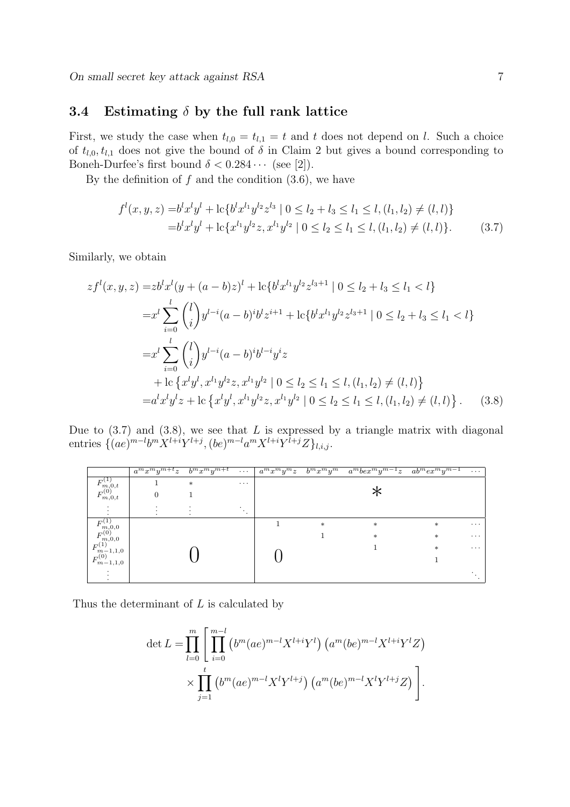### 3.4 Estimating  $\delta$  by the full rank lattice

First, we study the case when  $t_{l,0} = t_{l,1} = t$  and t does not depend on l. Such a choice of  $t_{l,0}, t_{l,1}$  does not give the bound of  $\delta$  in Claim 2 but gives a bound corresponding to Boneh-Durfee's first bound  $\delta < 0.284 \cdots$  (see [2]).

By the definition of  $f$  and the condition  $(3.6)$ , we have

$$
f^{l}(x, y, z) = b^{l}x^{l}y^{l} + \text{lc}\{b^{l}x^{l}y^{l}z^{l_{3}} | 0 \le l_{2} + l_{3} \le l_{1} \le l, (l_{1}, l_{2}) \ne (l, l)\}
$$
  

$$
= b^{l}x^{l}y^{l} + \text{lc}\{x^{l_{1}}y^{l_{2}}z, x^{l_{1}}y^{l_{2}} | 0 \le l_{2} \le l_{1} \le l, (l_{1}, l_{2}) \ne (l, l)\}. \tag{3.7}
$$

Similarly, we obtain

$$
zf^{l}(x, y, z) = zb^{l}x^{l}(y + (a - b)z)^{l} + lc{b^{l}x^{l_1}y^{l_2}z^{l_3+1} | 0 \leq l_2 + l_3 \leq l_1 < l}
$$
  
\n
$$
= x^{l} \sum_{i=0}^{l} {l \choose i} y^{l-i}(a - b)^{i}b^{l}z^{i+1} + lc{b^{l}x^{l_1}y^{l_2}z^{l_3+1} | 0 \leq l_2 + l_3 \leq l_1 < l}
$$
  
\n
$$
= x^{l} \sum_{i=0}^{l} {l \choose i} y^{l-i}(a - b)^{i}b^{l-i}y^{i}z
$$
  
\n
$$
+ lc\{x^{l}y^{l}, x^{l_1}y^{l_2}z, x^{l_1}y^{l_2} | 0 \leq l_2 \leq l_1 \leq l, (l_1, l_2) \neq (l, l)
$$
  
\n
$$
= a^{l}x^{l}y^{l}z + lc\{x^{l}y^{l}, x^{l_1}y^{l_2}z, x^{l_1}y^{l_2} | 0 \leq l_2 \leq l_1 \leq l, (l_1, l_2) \neq (l, l)
$$
  
\n(3.8)

Due to  $(3.7)$  and  $(3.8)$ , we see that L is expressed by a triangle matrix with diagonal entries  $\{(ae)^{m-l}b^mX^{l+i}Y^{l+j}, (be)^{m-l}a^mX^{l+i}Y^{l+j}Z\}_{l,i,j}.$ 

|                                                                                      | $a^m x^m y^{m+t} z$ | $b^m x^m y^{m+t}$ | $\cdots$ | $a^m x^m y^m z$ | $b^m x^m y^m$ | $a^m b e x^m y^{m-1} z$ $ab^m e x^m y^{m-1}$ |        | $\cdots$ |
|--------------------------------------------------------------------------------------|---------------------|-------------------|----------|-----------------|---------------|----------------------------------------------|--------|----------|
| F`                                                                                   |                     | $\ast$            | $\cdots$ |                 |               |                                              |        |          |
| $F_{m,0}^{(0),t}$<br>m,0,t                                                           |                     |                   |          |                 |               |                                              |        |          |
| $\bullet$                                                                            |                     |                   | $\cdot$  |                 |               |                                              |        |          |
|                                                                                      |                     |                   |          |                 | $\ast$        | $\ast$                                       | $\ast$ | $\cdots$ |
| $F^{(1)}_{m,0,0}$<br>$F^{(0)}_{m,0,0}$<br>$F^{(1)}_{m-1,1,0}$<br>$F^{(0)}_{m-1,1,0}$ |                     |                   |          |                 |               | $\ast$                                       | $\ast$ | $\cdots$ |
|                                                                                      |                     |                   |          |                 |               |                                              | $\ast$ | $\cdots$ |
| $m-1,1,0$                                                                            |                     |                   |          |                 |               |                                              |        |          |
|                                                                                      |                     |                   |          |                 |               |                                              |        |          |

Thus the determinant of L is calculated by

$$
\det L = \prod_{l=0}^{m} \left[ \prod_{i=0}^{m-l} \left( b^m (ae)^{m-l} X^{l+i} Y^l \right) \left( a^m (be)^{m-l} X^{l+i} Y^l Z \right) \right. \\ \times \prod_{j=1}^t \left( b^m (ae)^{m-l} X^l Y^{l+j} \right) \left( a^m (be)^{m-l} X^l Y^{l+j} Z \right) \right].
$$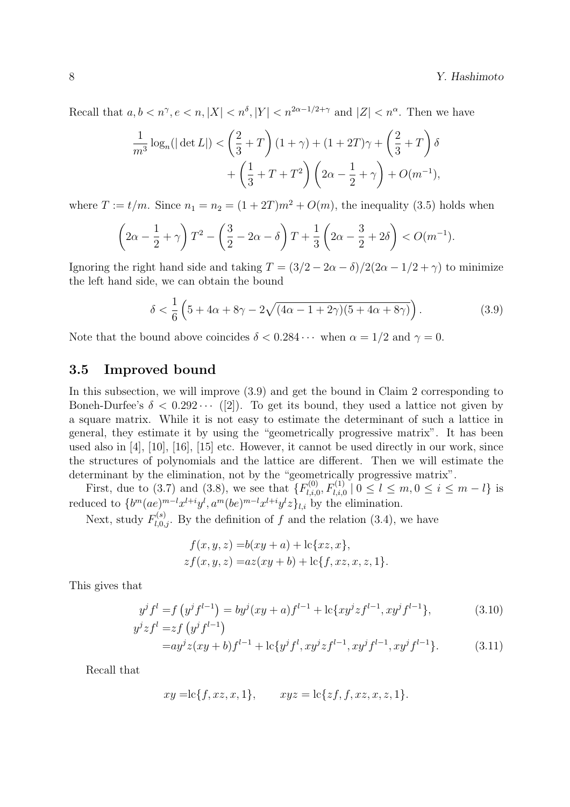#### 8 Y. Hashimoto

Recall that  $a, b < n^{\gamma}, e < n, |X| < n^{\delta}, |Y| < n^{2\alpha - 1/2 + \gamma}$  and  $|Z| < n^{\alpha}$ . Then we have

$$
\frac{1}{m^3} \log_n(|\det L|) < \left(\frac{2}{3} + T\right)(1+\gamma) + (1+2T)\gamma + \left(\frac{2}{3} + T\right)\delta + \left(\frac{1}{3} + T + T^2\right)\left(2\alpha - \frac{1}{2} + \gamma\right) + O(m^{-1}),
$$

where  $T := t/m$ . Since  $n_1 = n_2 = (1 + 2T)m^2 + O(m)$ , the inequality (3.5) holds when

$$
\left(2\alpha - \frac{1}{2} + \gamma\right)T^2 - \left(\frac{3}{2} - 2\alpha - \delta\right)T + \frac{1}{3}\left(2\alpha - \frac{3}{2} + 2\delta\right) < O(m^{-1}).
$$

Ignoring the right hand side and taking  $T = (3/2 - 2\alpha - \delta)/2(2\alpha - 1/2 + \gamma)$  to minimize the left hand side, we can obtain the bound

$$
\delta < \frac{1}{6} \left( 5 + 4\alpha + 8\gamma - 2\sqrt{(4\alpha - 1 + 2\gamma)(5 + 4\alpha + 8\gamma)} \right). \tag{3.9}
$$

Note that the bound above coincides  $\delta < 0.284 \cdots$  when  $\alpha = 1/2$  and  $\gamma = 0$ .

#### 3.5 Improved bound

In this subsection, we will improve (3.9) and get the bound in Claim 2 corresponding to Boneh-Durfee's  $\delta < 0.292 \cdots$  ([2]). To get its bound, they used a lattice not given by a square matrix. While it is not easy to estimate the determinant of such a lattice in general, they estimate it by using the "geometrically progressive matrix". It has been used also in [4], [10], [16], [15] etc. However, it cannot be used directly in our work, since the structures of polynomials and the lattice are different. Then we will estimate the determinant by the elimination, not by the "geometrically progressive matrix".

First, due to (3.7) and (3.8), we see that  $\{F_{l,i}^{(0)}\}$  $\sum_{l,i,0}^{(0)}$ ,  $F_{l,i,0}^{(1)} \mid 0 \leq l \leq m, 0 \leq i \leq m-l$  is reduced to  $\{b^m(ae)^{m-l}x^{l+i}y^l, a^m(be)^{m-l}x^{l+i}y^lz\}_{l,i}$  by the elimination.

Next, study  $F_{l,0,j}^{(s)}$ . By the definition of f and the relation (3.4), we have

$$
f(x, y, z) = b(xy + a) + lc{xz, x},
$$
  

$$
zf(x, y, z) = az(xy + b) + lc{f, xz, x, z, 1}.
$$

This gives that

$$
y^{j} f^{l} = f(y^{j} f^{l-1}) = b y^{j} (xy + a) f^{l-1} + c \{ xy^{j} z f^{l-1}, xy^{j} f^{l-1} \},
$$
\n
$$
y^{j} z f^{l} = z f(y^{j} f^{l-1})
$$
\n(3.10)

$$
= ay^{j}z(xy+b)f^{l-1} + lc\{y^{j}f^{l}, xy^{j}zf^{l-1}, xy^{j}f^{l-1}, xy^{j}f^{l-1}\}.
$$
 (3.11)

Recall that

$$
xy = \text{lc}{f, xz, x, 1}, \qquad xyz = \text{lc}{zf, f, xz, x, z, 1}.
$$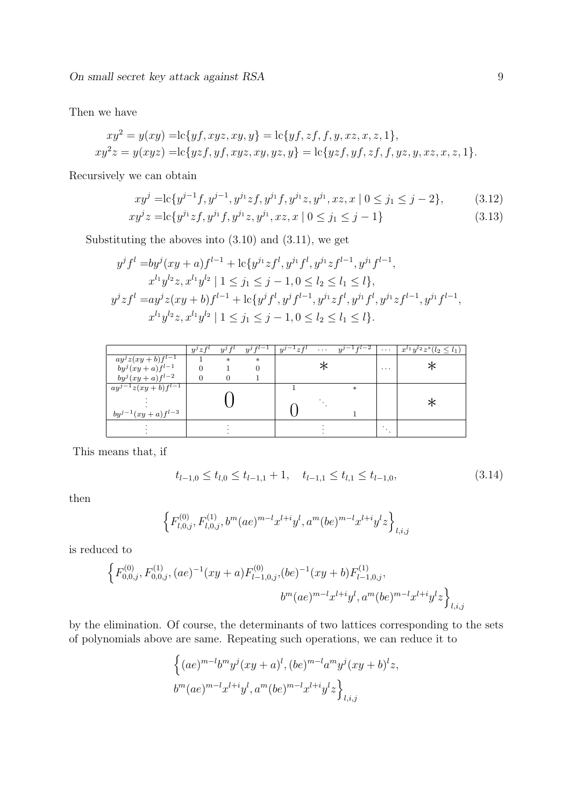On small secret key attack against  $RSA$  9

Then we have

$$
xy^{2} = y(xy) = \text{lc}\{yf, xyz, xy, y\} = \text{lc}\{yf, zf, f, y, xz, x, z, 1\},
$$
  
\n
$$
xy^{2}z = y(xyz) = \text{lc}\{yzf, yf, xyz, xy, yz, y\} = \text{lc}\{yzf, yf, zf, f, yz, y, xz, x, z, 1\}.
$$

Recursively we can obtain

$$
xy^{j} = \text{lc}\{y^{j-1}f, y^{j-1}, y^{j_1}zf, y^{j_1}f, y^{j_1}z, y^{j_1}, xz, x \mid 0 \le j_1 \le j-2\},\tag{3.12}
$$

$$
xy^{j}z = \text{lc}\{y^{j_{1}}zf, y^{j_{1}}f, y^{j_{1}}z, y^{j_{1}}, xz, x \mid 0 \le j_{1} \le j - 1\}
$$
\n(3.13)

Substituting the aboves into  $(3.10)$  and  $(3.11)$ , we get

$$
y^{j} f^{l} = by^{j} (xy + a) f^{l-1} + \operatorname{lc} \{ y^{j_{1}} z f^{l}, y^{j_{1}} f^{l}, y^{j_{1}} z f^{l-1}, y^{j_{1}} f^{l-1},
$$
  
\n
$$
x^{l_{1}} y^{l_{2}} z, x^{l_{1}} y^{l_{2}} \mid 1 \leq j_{1} \leq j - 1, 0 \leq l_{2} \leq l_{1} \leq l \},
$$
  
\n
$$
y^{j} z f^{l} = ay^{j} z (xy + b) f^{l-1} + \operatorname{lc} \{ y^{j} f^{l}, y^{j} f^{l-1}, y^{j_{1}} z f^{l}, y^{j_{1}} f^{l}, y^{j_{1}} z f^{l-1}, y^{j_{1}} f^{l-1},
$$
  
\n
$$
x^{l_{1}} y^{l_{2}} z, x^{l_{1}} y^{l_{2}} \mid 1 \leq j_{1} \leq j - 1, 0 \leq l_{2} \leq l_{1} \leq l \}.
$$

|                           | $y^j z f^i$ | $y^j$  | $y^j\overline{f^{l-1}}$ | $y^j$<br>$z f^*$ | $\cdots$ | $y^{j-\frac{1}{l}+l-2}$ | $\cdots$ | $x^{l_1}y^{l_2}z^s(l_2\leq l_1)$ |
|---------------------------|-------------|--------|-------------------------|------------------|----------|-------------------------|----------|----------------------------------|
| $ay^{j}z(xy+b)f^{l-1}$    |             | $\ast$ | $\ast$                  |                  |          |                         |          |                                  |
| $by^j(xy+a)f^{l-1}$       |             |        |                         |                  |          |                         | $\cdots$ |                                  |
| $by^j(xy+a)f^{l-2}$       |             |        |                         |                  |          |                         |          |                                  |
| $ay^{j-1}z(xy+b)f^{l-1}$  |             |        |                         |                  |          | $\ast$                  |          |                                  |
|                           |             |        |                         |                  |          |                         |          |                                  |
| $by^{j-1}(xy + a)f^{l-3}$ |             |        |                         |                  |          |                         |          |                                  |
|                           |             |        |                         |                  |          |                         |          |                                  |
|                           |             |        |                         |                  |          |                         |          |                                  |
|                           |             |        |                         |                  |          |                         |          |                                  |

This means that, if

$$
t_{l-1,0} \le t_{l,0} \le t_{l-1,1} + 1, \quad t_{l-1,1} \le t_{l,1} \le t_{l-1,0},\tag{3.14}
$$

then

$$
\left\{F_{l,0,j}^{(0)},F_{l,0,j}^{(1)},b^m(ae)^{m-l}x^{l+i}y^l,a^m(be)^{m-l}x^{l+i}y^lz\right\}_{l,i,j}
$$

is reduced to

$$
\left\{F_{0,0,j}^{(0)},F_{0,0,j}^{(1)},(ae)^{-1}(xy+a)F_{l-1,0,j}^{(0)},(be)^{-1}(xy+b)F_{l-1,0,j}^{(1)},\right.\\ \left.b^m(ae)^{m-l}x^{l+i}y^l,a^m(be)^{m-l}x^{l+i}y^l z\right\}_{l,i,j}
$$

by the elimination. Of course, the determinants of two lattices corresponding to the sets of polynomials above are same. Repeating such operations, we can reduce it to

$$
\left\{ (ae)^{m-l}b^m y^j (xy+a)^l, (be)^{m-l}a^m y^j (xy+b)^l z, b^m (ae)^{m-l}x^{l+i}y^l, a^m (be)^{m-l}x^{l+i}y^l z \right\}_{l,i,j}
$$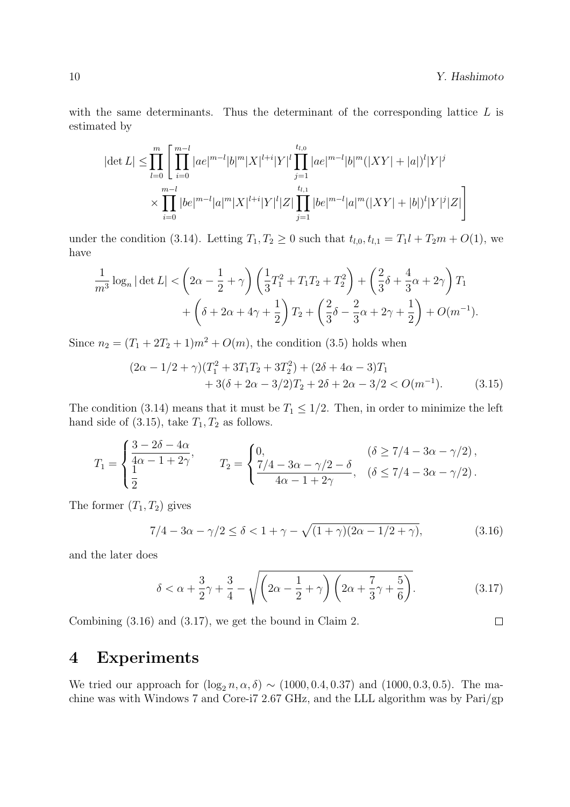with the same determinants. Thus the determinant of the corresponding lattice  $L$  is estimated by

$$
|\det L| \leq \prod_{l=0}^{m} \left[ \prod_{i=0}^{m-l} |ae|^{m-l} |b|^m |X|^{l+i} |Y|^l \prod_{j=1}^{t_{l,0}} |ae|^{m-l} |b|^m (|XY|+|a|)^l |Y|^j \right] \times \prod_{i=0}^{m-l} |be|^{m-l} |a|^m |X|^{l+i} |Y|^l |Z| \prod_{j=1}^{t_{l,1}} |be|^{m-l} |a|^m (|XY|+|b|)^l |Y|^j |Z| \right]
$$

under the condition (3.14). Letting  $T_1, T_2 \ge 0$  such that  $t_{l,0}, t_{l,1} = T_1 l + T_2 m + O(1)$ , we have

$$
\frac{1}{m^3} \log_n |\det L| < \left(2\alpha - \frac{1}{2} + \gamma\right) \left(\frac{1}{3}T_1^2 + T_1T_2 + T_2^2\right) + \left(\frac{2}{3}\delta + \frac{4}{3}\alpha + 2\gamma\right)T_1 \n+ \left(\delta + 2\alpha + 4\gamma + \frac{1}{2}\right)T_2 + \left(\frac{2}{3}\delta - \frac{2}{3}\alpha + 2\gamma + \frac{1}{2}\right) + O(m^{-1}).
$$

Since  $n_2 = (T_1 + 2T_2 + 1)m^2 + O(m)$ , the condition (3.5) holds when

$$
(2\alpha - 1/2 + \gamma)(T_1^2 + 3T_1T_2 + 3T_2^2) + (2\delta + 4\alpha - 3)T_1
$$
  
+ 3(\delta + 2\alpha - 3/2)T\_2 + 2\delta + 2\alpha - 3/2 < O(m^{-1}). (3.15)

The condition (3.14) means that it must be  $T_1 \leq 1/2$ . Then, in order to minimize the left hand side of  $(3.15)$ , take  $T_1, T_2$  as follows.

$$
T_1 = \begin{cases} \frac{3 - 2\delta - 4\alpha}{4\alpha - 1 + 2\gamma}, & T_2 = \begin{cases} 0, & (\delta \ge 7/4 - 3\alpha - \gamma/2), \\ \frac{7/4 - 3\alpha - \gamma/2 - \delta}{4\alpha - 1 + 2\gamma}, & (\delta \le 7/4 - 3\alpha - \gamma/2). \end{cases}
$$

The former  $(T_1, T_2)$  gives

$$
7/4 - 3\alpha - \gamma/2 \le \delta < 1 + \gamma - \sqrt{(1+\gamma)(2\alpha - 1/2 + \gamma)},
$$
\n(3.16)

and the later does

$$
\delta < \alpha + \frac{3}{2}\gamma + \frac{3}{4} - \sqrt{\left(2\alpha - \frac{1}{2} + \gamma\right)\left(2\alpha + \frac{7}{3}\gamma + \frac{5}{6}\right)}.\tag{3.17}
$$

Combining (3.16) and (3.17), we get the bound in Claim 2.

## 4 Experiments

We tried our approach for  $(\log_2 n, \alpha, \delta) \sim (1000, 0.4, 0.37)$  and  $(1000, 0.3, 0.5)$ . The machine was with Windows 7 and Core-i7 2.67 GHz, and the LLL algorithm was by Pari/gp

 $\Box$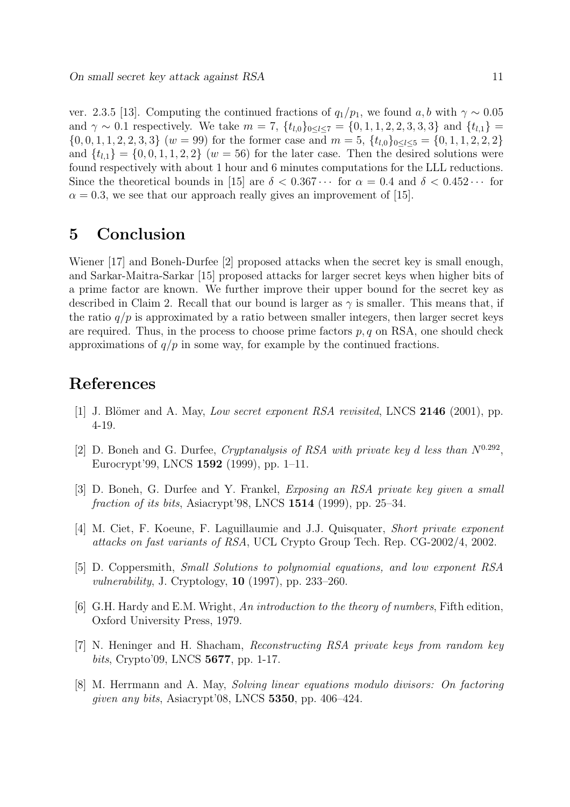ver. 2.3.5 [13]. Computing the continued fractions of  $q_1/p_1$ , we found a, b with  $\gamma \sim 0.05$ and  $\gamma \sim 0.1$  respectively. We take  $m = 7$ ,  $\{t_{l,0}\}_{0 \le l \le 7} = \{0, 1, 1, 2, 2, 3, 3, 3\}$  and  $\{t_{l,1}\} =$  $\{0, 0, 1, 1, 2, 2, 3, 3\}$  (w = 99) for the former case and  $m = 5$ ,  $\{t_{l,0}\}_{0 \le l \le 5} = \{0, 1, 1, 2, 2, 2\}$ and  $\{t_{l,1}\} = \{0,0,1,1,2,2\}$  (w = 56) for the later case. Then the desired solutions were found respectively with about 1 hour and 6 minutes computations for the LLL reductions. Since the theoretical bounds in [15] are  $\delta < 0.367 \cdots$  for  $\alpha = 0.4$  and  $\delta < 0.452 \cdots$  for  $\alpha = 0.3$ , we see that our approach really gives an improvement of [15].

## 5 Conclusion

Wiener [17] and Boneh-Durfee [2] proposed attacks when the secret key is small enough, and Sarkar-Maitra-Sarkar [15] proposed attacks for larger secret keys when higher bits of a prime factor are known. We further improve their upper bound for the secret key as described in Claim 2. Recall that our bound is larger as  $\gamma$  is smaller. This means that, if the ratio  $q/p$  is approximated by a ratio between smaller integers, then larger secret keys are required. Thus, in the process to choose prime factors  $p, q$  on RSA, one should check approximations of  $q/p$  in some way, for example by the continued fractions.

## References

- [1] J. Blömer and A. May, Low secret exponent RSA revisited, LNCS  $2146$  (2001), pp. 4-19.
- [2] D. Boneh and G. Durfee, *Cryptanalysis of RSA with private key d less than*  $N^{0.292}$ , Eurocrypt'99, LNCS 1592 (1999), pp. 1–11.
- [3] D. Boneh, G. Durfee and Y. Frankel, Exposing an RSA private key given a small fraction of its bits, Asiacrypt'98, LNCS 1514 (1999), pp. 25–34.
- [4] M. Ciet, F. Koeune, F. Laguillaumie and J.J. Quisquater, Short private exponent attacks on fast variants of RSA, UCL Crypto Group Tech. Rep. CG-2002/4, 2002.
- [5] D. Coppersmith, Small Solutions to polynomial equations, and low exponent RSA *vulnerability*, J. Cryptology,  $10$  (1997), pp. 233–260.
- [6] G.H. Hardy and E.M. Wright, An introduction to the theory of numbers, Fifth edition, Oxford University Press, 1979.
- [7] N. Heninger and H. Shacham, Reconstructing RSA private keys from random key bits, Crypto'09, LNCS 5677, pp. 1-17.
- [8] M. Herrmann and A. May, Solving linear equations modulo divisors: On factoring given any bits, Asiacrypt'08, LNCS 5350, pp. 406–424.